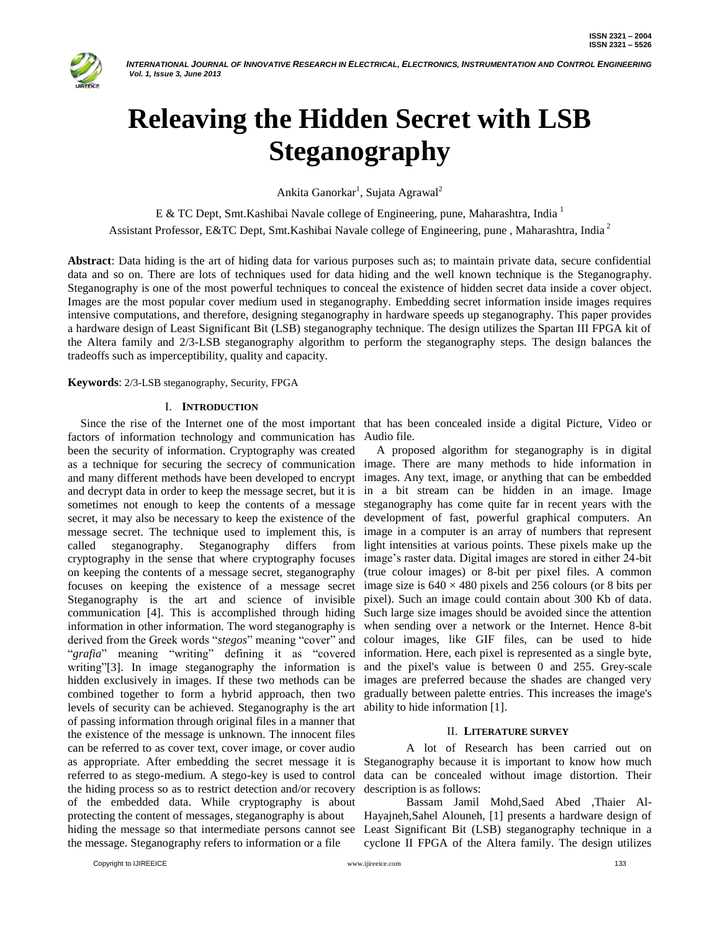

# **Releaving the Hidden Secret with LSB Steganography**

Ankita Ganorkar<sup>1</sup>, Sujata Agrawal<sup>2</sup>

E & TC Dept, Smt. Kashibai Navale college of Engineering, pune, Maharashtra, India<sup>1</sup>

Assistant Professor, E&TC Dept, Smt.Kashibai Navale college of Engineering, pune , Maharashtra, India <sup>2</sup>

**Abstract**: Data hiding is the art of hiding data for various purposes such as; to maintain private data, secure confidential data and so on. There are lots of techniques used for data hiding and the well known technique is the Steganography. Steganography is one of the most powerful techniques to conceal the existence of hidden secret data inside a cover object. Images are the most popular cover medium used in steganography. Embedding secret information inside images requires intensive computations, and therefore, designing steganography in hardware speeds up steganography. This paper provides a hardware design of Least Significant Bit (LSB) steganography technique. The design utilizes the Spartan III FPGA kit of the Altera family and 2/3-LSB steganography algorithm to perform the steganography steps. The design balances the tradeoffs such as imperceptibility, quality and capacity.

## **Keywords**: 2/3-LSB steganography, Security, FPGA

## I. **INTRODUCTION**

factors of information technology and communication has Audio file. been the security of information. Cryptography was created as a technique for securing the secrecy of communication and many different methods have been developed to encrypt and decrypt data in order to keep the message secret, but it is sometimes not enough to keep the contents of a message secret, it may also be necessary to keep the existence of the message secret. The technique used to implement this, is called steganography. Steganography differs from cryptography in the sense that where cryptography focuses on keeping the contents of a message secret, steganography focuses on keeping the existence of a message secret Steganography is the art and science of invisible communication [4]. This is accomplished through hiding information in other information. The word steganography is derived from the Greek words "*stegos*" meaning "cover" and "*grafia*" meaning "writing" defining it as "covered writing"[3]. In image steganography the information is hidden exclusively in images. If these two methods can be combined together to form a hybrid approach, then two levels of security can be achieved. Steganography is the art of passing information through original files in a manner that the existence of the message is unknown. The innocent files can be referred to as cover text, cover image, or cover audio as appropriate. After embedding the secret message it is referred to as stego-medium. A stego-key is used to control the hiding process so as to restrict detection and/or recovery of the embedded data. While cryptography is about protecting the content of messages, steganography is about hiding the message so that intermediate persons cannot see the message. Steganography refers to information or a file

Since the rise of the Internet one of the most important that has been concealed inside a digital Picture, Video or

A proposed algorithm for steganography is in digital image. There are many methods to hide information in images. Any text, image, or anything that can be embedded in a bit stream can be hidden in an image. Image steganography has come quite far in recent years with the development of fast, powerful graphical computers. An image in a computer is an array of numbers that represent light intensities at various points. These pixels make up the image's raster data. Digital images are stored in either 24-bit (true colour images) or 8-bit per pixel files. A common image size is  $640 \times 480$  pixels and 256 colours (or 8 bits per pixel). Such an image could contain about 300 Kb of data. Such large size images should be avoided since the attention when sending over a network or the Internet. Hence 8-bit colour images, like GIF files, can be used to hide information. Here, each pixel is represented as a single byte, and the pixel's value is between 0 and 255. Grey-scale images are preferred because the shades are changed very gradually between palette entries. This increases the image's ability to hide information [1].

## II. **LITERATURE SURVEY**

A lot of Research has been carried out on Steganography because it is important to know how much data can be concealed without image distortion. Their description is as follows:

Bassam Jamil Mohd,Saed Abed ,Thaier Al-Hayajneh,Sahel Alouneh, [1] presents a hardware design of Least Significant Bit (LSB) steganography technique in a cyclone II FPGA of the Altera family. The design utilizes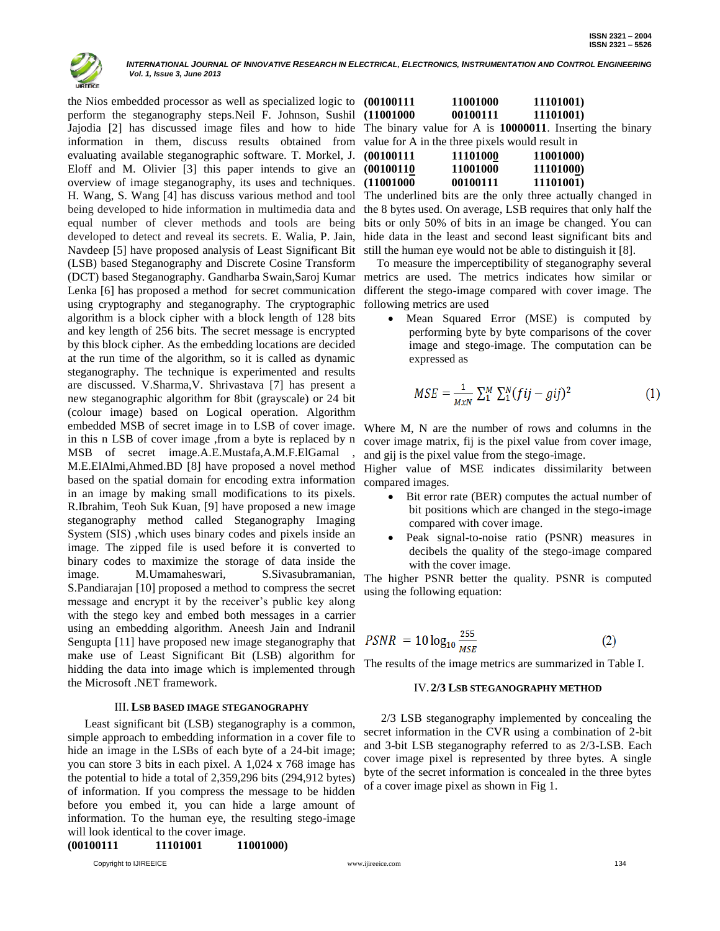

the Nios embedded processor as well as specialized logic to perform the steganography steps.Neil F. Johnson, Sushil Jajodia [2] has discussed image files and how to hide information in them, discuss results obtained from evaluating available steganographic software. T. Morkel, J. Eloff and M. Olivier [3] this paper intends to give an overview of image steganography, its uses and techniques. H. Wang, S. Wang [4] has discuss various method and tool being developed to hide information in multimedia data and equal number of clever methods and tools are being developed to detect and reveal its secrets. E. Walia, P. Jain, Navdeep [5] have proposed analysis of Least Significant Bit (LSB) based Steganography and Discrete Cosine Transform (DCT) based Steganography. Gandharba Swain,Saroj Kumar metrics are used. The metrics indicates how similar or Lenka [6] has proposed a method for secret communication using cryptography and steganography. The cryptographic algorithm is a block cipher with a block length of 128 bits and key length of 256 bits. The secret message is encrypted by this block cipher. As the embedding locations are decided at the run time of the algorithm, so it is called as dynamic steganography. The technique is experimented and results are discussed. V.Sharma,V. Shrivastava [7] has present a new steganographic algorithm for 8bit (grayscale) or 24 bit (colour image) based on Logical operation. Algorithm embedded MSB of secret image in to LSB of cover image. in this n LSB of cover image ,from a byte is replaced by n MSB of secret image.A.E.Mustafa,A.M.F.ElGamal M.E.ElAlmi,Ahmed.BD [8] have proposed a novel method based on the spatial domain for encoding extra information in an image by making small modifications to its pixels. R.Ibrahim, Teoh Suk Kuan, [9] have proposed a new image steganography method called Steganography Imaging System (SIS) ,which uses binary codes and pixels inside an image. The zipped file is used before it is converted to binary codes to maximize the storage of data inside the image. M.Umamaheswari*,* S.Sivasubramanian, S.Pandiarajan [10] proposed a method to compress the secret message and encrypt it by the receiver's public key along with the stego key and embed both messages in a carrier using an embedding algorithm. Aneesh Jain and Indranil Sengupta [11] have proposed new image steganography that make use of Least Significant Bit (LSB) algorithm for hidding the data into image which is implemented through the Microsoft .NET framework.

#### III. **LSB BASED IMAGE STEGANOGRAPHY**

Least significant bit (LSB) steganography is a common, simple approach to embedding information in a cover file to hide an image in the LSBs of each byte of a 24-bit image; you can store 3 bits in each pixel. A 1,024 x 768 image has the potential to hide a total of 2,359,296 bits (294,912 bytes) of information. If you compress the message to be hidden before you embed it, you can hide a large amount of information. To the human eye, the resulting stego-image will look identical to the cover image.

| <b>(00100111</b><br>11101001 | 11001000) |
|------------------------------|-----------|
|------------------------------|-----------|

Copyright to IJIREEICE **134** [www.ijireeice.com](http://www.ijireeice.com/) **134** www.ijireeice.com 134

| (00100111)                                               |  | 11001000 | 11101001) |  |
|----------------------------------------------------------|--|----------|-----------|--|
| (11001000                                                |  | 00100111 | 11101001) |  |
| The binary value for A is 10000011. Inserting the binary |  |          |           |  |

| value for A in the three pixels would result in |          |           |  |  |  |
|-------------------------------------------------|----------|-----------|--|--|--|
| (00100111)                                      | 11101000 | 11001000) |  |  |  |
| (00100110)                                      | 11001000 | 11101000) |  |  |  |
| (11001000)                                      | 00100111 | 11101001) |  |  |  |

The underlined bits are the only three actually changed in the 8 bytes used. On average, LSB requires that only half the bits or only 50% of bits in an image be changed. You can hide data in the least and second least significant bits and still the human eye would not be able to distinguish it [8].

To measure the imperceptibility of steganography several different the stego-image compared with cover image. The following metrics are used

 Mean Squared Error (MSE) is computed by performing byte by byte comparisons of the cover image and stego-image. The computation can be expressed as

$$
MSE = \frac{1}{MxN} \sum_{i=1}^{M} \sum_{i=1}^{N} (fij - gij)^2
$$
 (1)

Where M, N are the number of rows and columns in the cover image matrix, fij is the pixel value from cover image, and gij is the pixel value from the stego-image.

Higher value of MSE indicates dissimilarity between compared images.

- Bit error rate (BER) computes the actual number of bit positions which are changed in the stego-image compared with cover image.
- Peak signal-to-noise ratio (PSNR) measures in decibels the quality of the stego-image compared with the cover image.

The higher PSNR better the quality. PSNR is computed using the following equation:

$$
PSNR = 10 \log_{10} \frac{255}{MSE}
$$
 (2)

The results of the image metrics are summarized in Table I.

#### IV. **2/3 LSB STEGANOGRAPHY METHOD**

2/3 LSB steganography implemented by concealing the secret information in the CVR using a combination of 2-bit and 3-bit LSB steganography referred to as 2/3-LSB. Each cover image pixel is represented by three bytes. A single byte of the secret information is concealed in the three bytes of a cover image pixel as shown in Fig 1.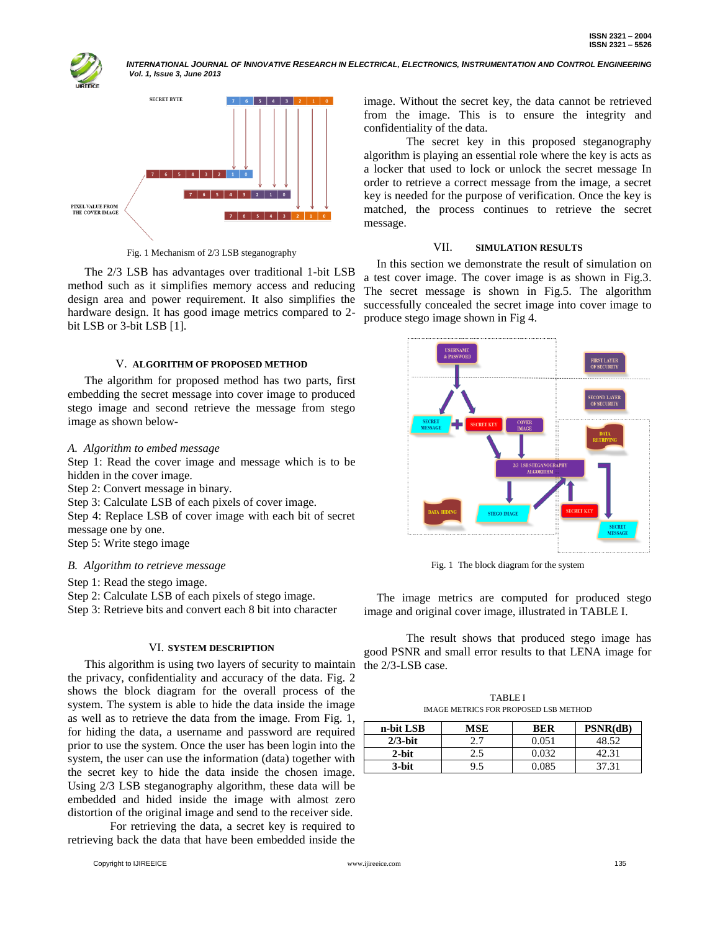



Fig. 1 Mechanism of 2/3 LSB steganography

The 2/3 LSB has advantages over traditional 1-bit LSB method such as it simplifies memory access and reducing design area and power requirement. It also simplifies the hardware design. It has good image metrics compared to 2 bit LSB or 3-bit LSB [1].

## V. **ALGORITHM OF PROPOSED METHOD**

The algorithm for proposed method has two parts, first embedding the secret message into cover image to produced stego image and second retrieve the message from stego image as shown below-

## *A. Algorithm to embed message*

Step 1: Read the cover image and message which is to be hidden in the cover image.

Step 2: Convert message in binary.

Step 3: Calculate LSB of each pixels of cover image.

Step 4: Replace LSB of cover image with each bit of secret message one by one.

Step 5: Write stego image

## *B. Algorithm to retrieve message*

Step 1: Read the stego image.

Step 2: Calculate LSB of each pixels of stego image.

Step 3: Retrieve bits and convert each 8 bit into character

## VI. **SYSTEM DESCRIPTION**

This algorithm is using two layers of security to maintain the privacy, confidentiality and accuracy of the data. Fig. 2 shows the block diagram for the overall process of the system. The system is able to hide the data inside the image as well as to retrieve the data from the image. From Fig. 1, for hiding the data, a username and password are required prior to use the system. Once the user has been login into the system, the user can use the information (data) together with the secret key to hide the data inside the chosen image. Using 2/3 LSB steganography algorithm, these data will be embedded and hided inside the image with almost zero distortion of the original image and send to the receiver side.

For retrieving the data, a secret key is required to retrieving back the data that have been embedded inside the

image. Without the secret key, the data cannot be retrieved from the image. This is to ensure the integrity and confidentiality of the data.

The secret key in this proposed steganography algorithm is playing an essential role where the key is acts as a locker that used to lock or unlock the secret message In order to retrieve a correct message from the image, a secret key is needed for the purpose of verification. Once the key is matched, the process continues to retrieve the secret message.

## VII. **SIMULATION RESULTS**

In this section we demonstrate the result of simulation on a test cover image. The cover image is as shown in Fig.3. The secret message is shown in Fig.5. The algorithm successfully concealed the secret image into cover image to produce stego image shown in Fig 4.



Fig. 1 The block diagram for the system

The image metrics are computed for produced stego image and original cover image, illustrated in TABLE I.

The result shows that produced stego image has good PSNR and small error results to that LENA image for the 2/3-LSB case.

TABLE I IMAGE METRICS FOR PROPOSED LSB METHOD

| n-bit LSB  | <b>MSE</b> | <b>BER</b> | PSNR(dB) |
|------------|------------|------------|----------|
| $2/3$ -bit |            | 0.051      | 48.52    |
| $2$ -bit   | 2.5        | 0.032      | 42.31    |
| 3-bit      |            | 0 085      |          |